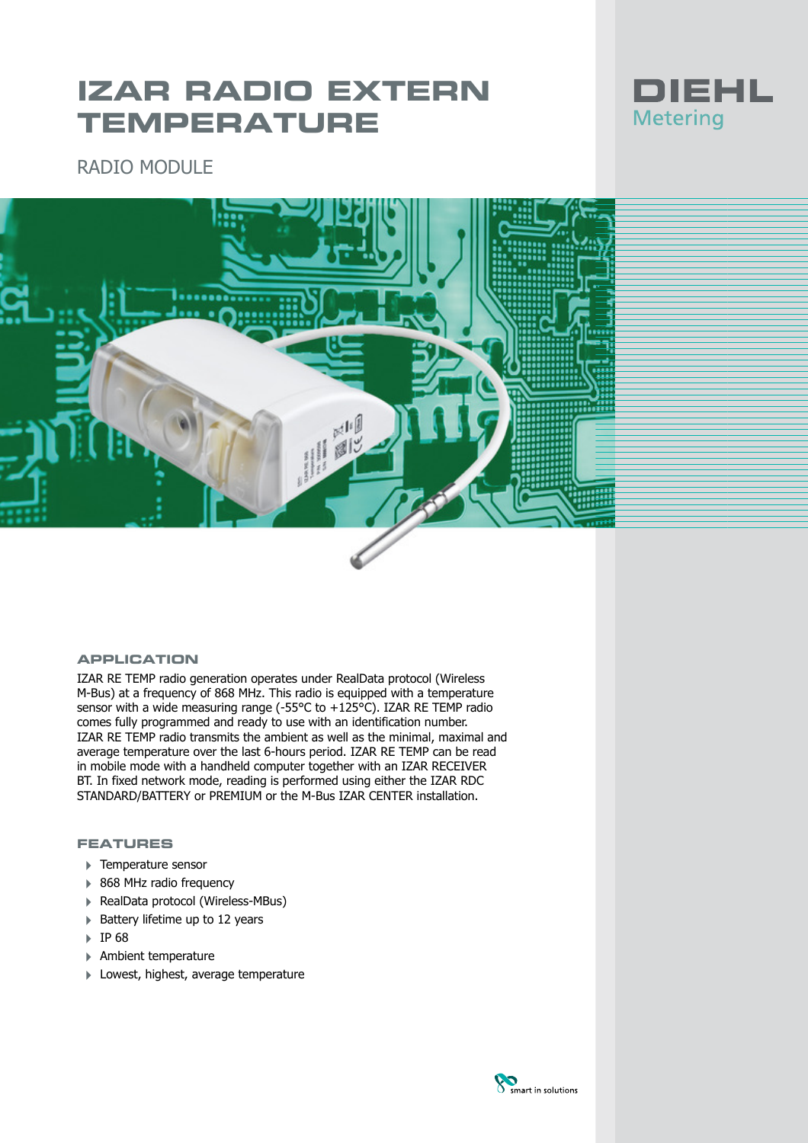# **IZAR RADIO EXTERN TEMPERATURE**



RADIO MODULE



#### **APPLICATION**

IZAR RE TEMP radio generation operates under RealData protocol (Wireless M-Bus) at a frequency of 868 MHz. This radio is equipped with a temperature sensor with a wide measuring range (-55°C to +125°C). IZAR RE TEMP radio comes fully programmed and ready to use with an identification number. IZAR RE TEMP radio transmits the ambient as well as the minimal, maximal and average temperature over the last 6-hours period. IZAR RE TEMP can be read in mobile mode with a handheld computer together with an IZAR RECEIVER BT. In fixed network mode, reading is performed using either the IZAR RDC STANDARD/BATTERY or PREMIUM or the M-Bus IZAR CENTER installation.

# **FEATURES**

- 4 Temperature sensor
- ▶ 868 MHz radio frequency
- ▶ RealData protocol (Wireless-MBus)
- ▶ Battery lifetime up to 12 years
- 4 IP 68
- 4 Ambient temperature
- ▶ Lowest, highest, average temperature